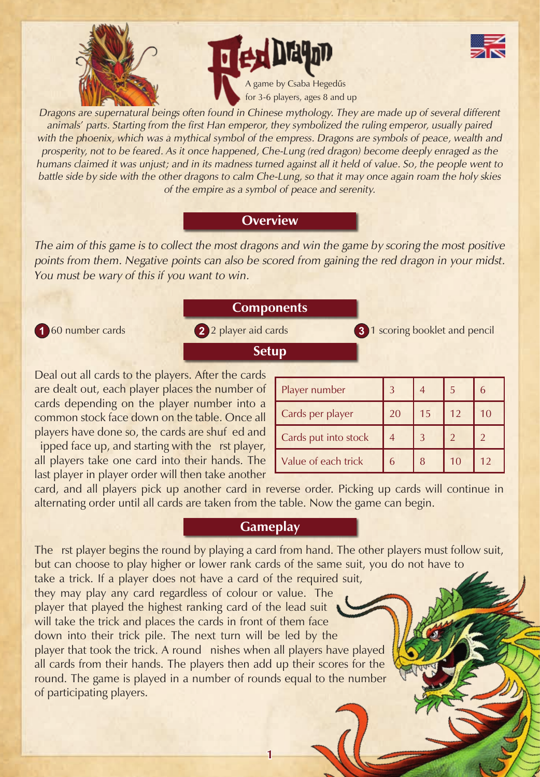



*Dragons are supernatural beings often found in Chinese mythology. They are made up of several different animals' parts. Starting from the first Han emperor, they symbolized the ruling emperor, usually paired*  with the phoenix, which was a mythical symbol of the empress. Dragons are symbols of peace, wealth and *prosperity, not to be feared. As it once happened, Che-Lung (red dragon) become deeply enraged as the humans claimed it was unjust; and in its madness turned against all it held of value. So, the people went to battle side by side with the other dragons to calm Che-Lung, so that it may once again roam the holy skies of the empire as a symbol of peace and serenity.*

# **Overview**

*The aim of this game is to collect the most dragons and win the game by scoring the most positive points from them. Negative points can also be scored from gaining the red dragon in your midst. You must be wary of this if you want to win.*

# **Components**

**Setup**

**1** 60 number cards **2** 2 player aid cards **3** 1 scoring booklet and pencil

Deal out all cards to the players. After the cards are dealt out, each player places the number of cards depending on the player number into a common stock face down on the table. Once all players have done so, the cards are shuf ed and

ipped face up, and starting with the rst player, all players take one card into their hands. The last player in player order will then take another

| Player number        |    |    | 5  | 6  |
|----------------------|----|----|----|----|
| Cards per player     | 20 | 15 | 12 | 10 |
| Cards put into stock |    |    |    |    |
| Value of each trick  | 6  | 8  | 10 | 12 |

card, and all players pick up another card in reverse order. Picking up cards will continue in alternating order until all cards are taken from the table. Now the game can begin.

# **Gameplay**

The rst player begins the round by playing a card from hand. The other players must follow suit, but can choose to play higher or lower rank cards of the same suit, you do not have to take a trick. If a player does not have a card of the required suit, they may play any card regardless of colour or value. The player that played the highest ranking card of the lead suit will take the trick and places the cards in front of them face down into their trick pile. The next turn will be led by the player that took the trick. A round nishes when all players have played all cards from their hands. The players then add up their scores for the round. The game is played in a number of rounds equal to the number of participating players.

**1**